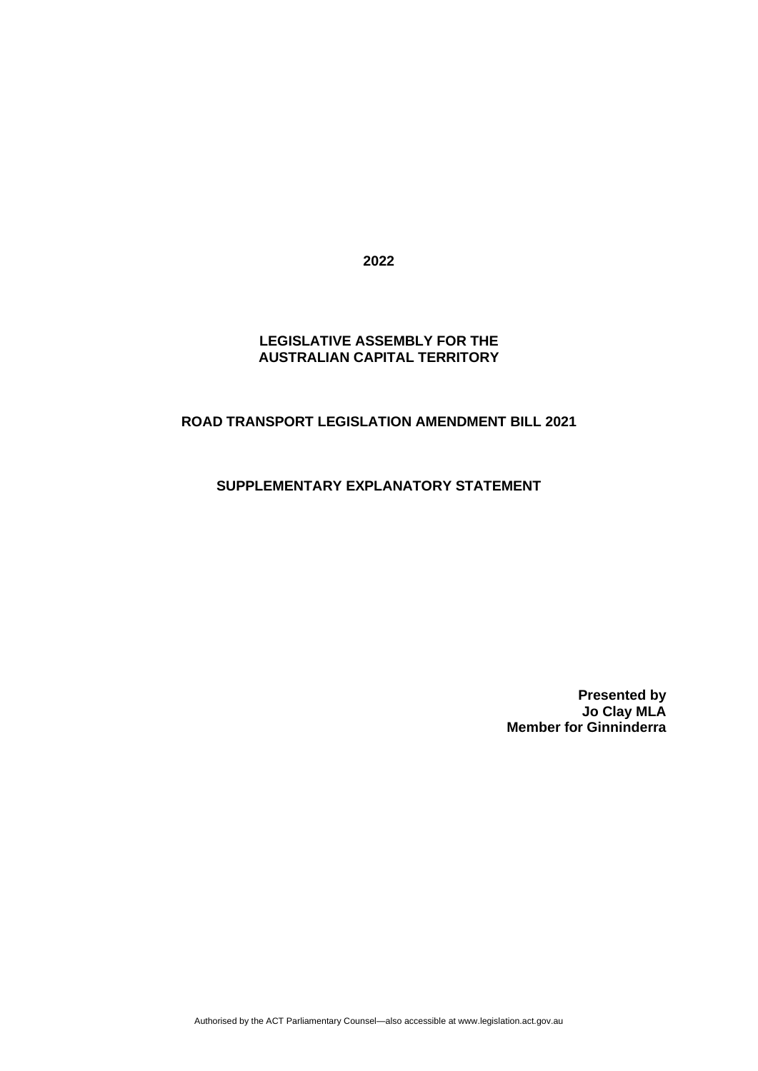**2022**

### **LEGISLATIVE ASSEMBLY FOR THE AUSTRALIAN CAPITAL TERRITORY**

## **ROAD TRANSPORT LEGISLATION AMENDMENT BILL 2021**

# **SUPPLEMENTARY EXPLANATORY STATEMENT**

**Presented by Jo Clay MLA Member for Ginninderra**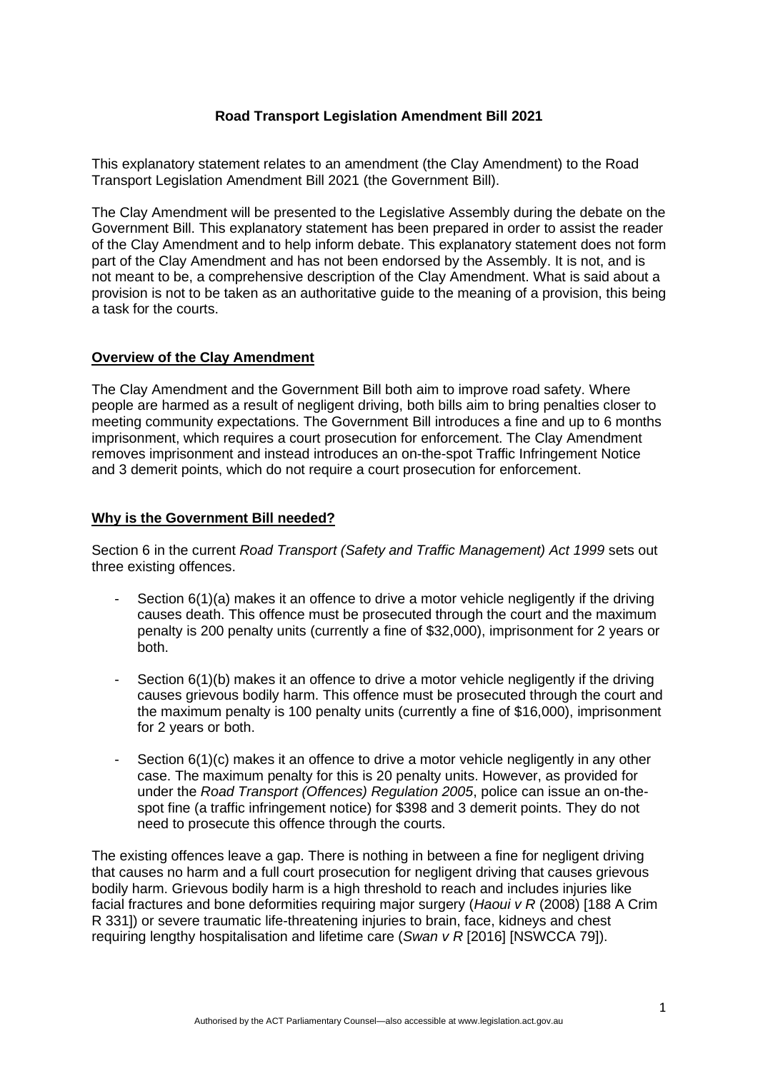## **Road Transport Legislation Amendment Bill 2021**

This explanatory statement relates to an amendment (the Clay Amendment) to the Road Transport Legislation Amendment Bill 2021 (the Government Bill).

The Clay Amendment will be presented to the Legislative Assembly during the debate on the Government Bill. This explanatory statement has been prepared in order to assist the reader of the Clay Amendment and to help inform debate. This explanatory statement does not form part of the Clay Amendment and has not been endorsed by the Assembly. It is not, and is not meant to be, a comprehensive description of the Clay Amendment. What is said about a provision is not to be taken as an authoritative guide to the meaning of a provision, this being a task for the courts.

### **Overview of the Clay Amendment**

The Clay Amendment and the Government Bill both aim to improve road safety. Where people are harmed as a result of negligent driving, both bills aim to bring penalties closer to meeting community expectations. The Government Bill introduces a fine and up to 6 months imprisonment, which requires a court prosecution for enforcement. The Clay Amendment removes imprisonment and instead introduces an on-the-spot Traffic Infringement Notice and 3 demerit points, which do not require a court prosecution for enforcement.

### **Why is the Government Bill needed?**

Section 6 in the current *Road Transport (Safety and Traffic Management) Act 1999* sets out three existing offences.

- Section  $6(1)(a)$  makes it an offence to drive a motor vehicle negligently if the driving causes death. This offence must be prosecuted through the court and the maximum penalty is 200 penalty units (currently a fine of \$32,000), imprisonment for 2 years or both.
- Section 6(1)(b) makes it an offence to drive a motor vehicle negligently if the driving causes grievous bodily harm. This offence must be prosecuted through the court and the maximum penalty is 100 penalty units (currently a fine of \$16,000), imprisonment for 2 years or both.
- Section 6(1)(c) makes it an offence to drive a motor vehicle negligently in any other case. The maximum penalty for this is 20 penalty units. However, as provided for under the *Road Transport (Offences) Regulation 2005*, police can issue an on-thespot fine (a traffic infringement notice) for \$398 and 3 demerit points. They do not need to prosecute this offence through the courts.

The existing offences leave a gap. There is nothing in between a fine for negligent driving that causes no harm and a full court prosecution for negligent driving that causes grievous bodily harm. Grievous bodily harm is a high threshold to reach and includes injuries like facial fractures and bone deformities requiring major surgery (*Haoui v R* (2008) [188 A Crim R 331]) or severe traumatic life-threatening injuries to brain, face, kidneys and chest requiring lengthy hospitalisation and lifetime care (*Swan v R* [2016] [NSWCCA 79]).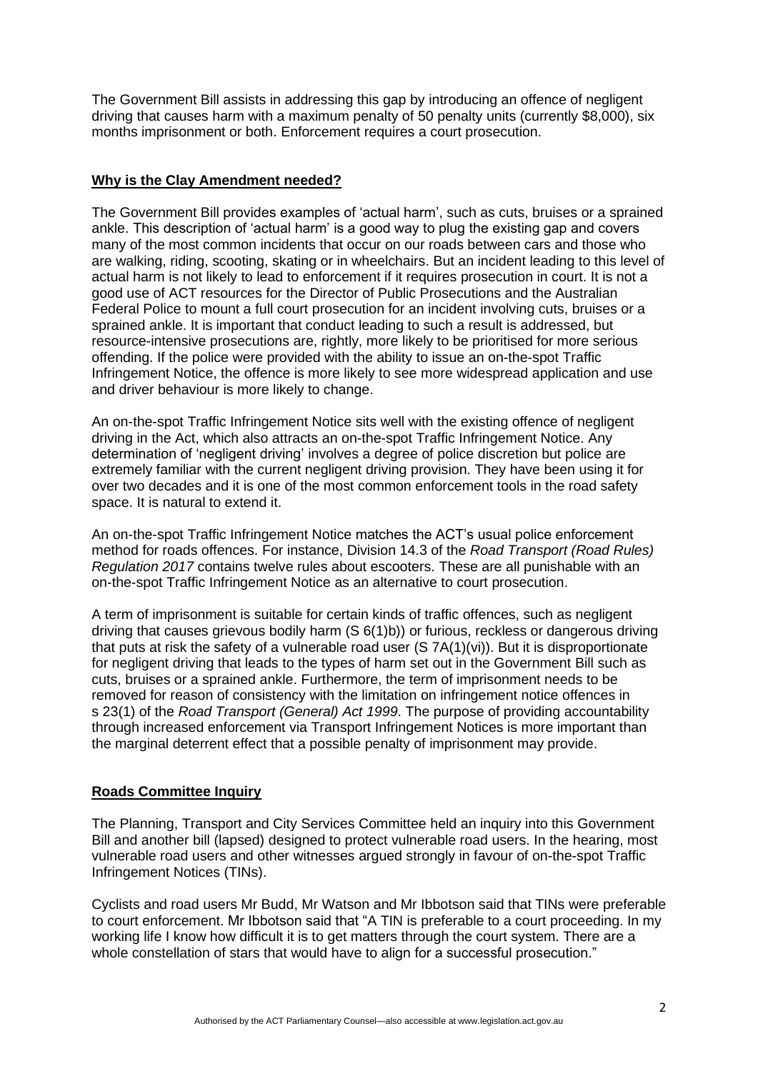The Government Bill assists in addressing this gap by introducing an offence of negligent driving that causes harm with a maximum penalty of 50 penalty units (currently \$8,000), six months imprisonment or both. Enforcement requires a court prosecution.

### **Why is the Clay Amendment needed?**

The Government Bill provides examples of 'actual harm', such as cuts, bruises or a sprained ankle. This description of 'actual harm' is a good way to plug the existing gap and covers many of the most common incidents that occur on our roads between cars and those who are walking, riding, scooting, skating or in wheelchairs. But an incident leading to this level of actual harm is not likely to lead to enforcement if it requires prosecution in court. It is not a good use of ACT resources for the Director of Public Prosecutions and the Australian Federal Police to mount a full court prosecution for an incident involving cuts, bruises or a sprained ankle. It is important that conduct leading to such a result is addressed, but resource-intensive prosecutions are, rightly, more likely to be prioritised for more serious offending. If the police were provided with the ability to issue an on-the-spot Traffic Infringement Notice, the offence is more likely to see more widespread application and use and driver behaviour is more likely to change.

An on-the-spot Traffic Infringement Notice sits well with the existing offence of negligent driving in the Act, which also attracts an on-the-spot Traffic Infringement Notice. Any determination of 'negligent driving' involves a degree of police discretion but police are extremely familiar with the current negligent driving provision. They have been using it for over two decades and it is one of the most common enforcement tools in the road safety space. It is natural to extend it.

An on-the-spot Traffic Infringement Notice matches the ACT's usual police enforcement method for roads offences. For instance, Division 14.3 of the *Road Transport (Road Rules) Regulation 2017* contains twelve rules about escooters. These are all punishable with an on-the-spot Traffic Infringement Notice as an alternative to court prosecution.

A term of imprisonment is suitable for certain kinds of traffic offences, such as negligent driving that causes grievous bodily harm (S 6(1)b)) or furious, reckless or dangerous driving that puts at risk the safety of a vulnerable road user (S 7A(1)(vi)). But it is disproportionate for negligent driving that leads to the types of harm set out in the Government Bill such as cuts, bruises or a sprained ankle. Furthermore, the term of imprisonment needs to be removed for reason of consistency with the limitation on infringement notice offences in s 23(1) of the *Road Transport (General) Act 1999*. The purpose of providing accountability through increased enforcement via Transport Infringement Notices is more important than the marginal deterrent effect that a possible penalty of imprisonment may provide.

## **Roads Committee Inquiry**

The Planning, Transport and City Services Committee held an inquiry into this Government Bill and another bill (lapsed) designed to protect vulnerable road users. In the hearing, most vulnerable road users and other witnesses argued strongly in favour of on-the-spot Traffic Infringement Notices (TINs).

Cyclists and road users Mr Budd, Mr Watson and Mr Ibbotson said that TINs were preferable to court enforcement. Mr Ibbotson said that "A TIN is preferable to a court proceeding. In my working life I know how difficult it is to get matters through the court system. There are a whole constellation of stars that would have to align for a successful prosecution."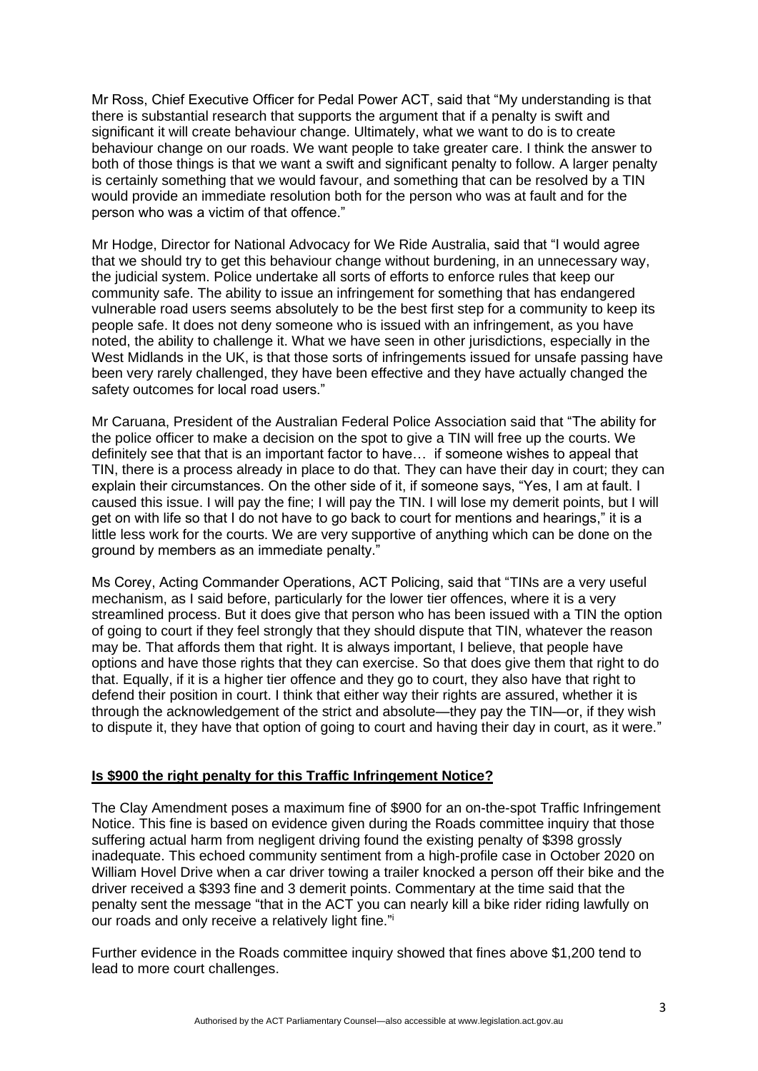Mr Ross, Chief Executive Officer for Pedal Power ACT, said that "My understanding is that there is substantial research that supports the argument that if a penalty is swift and significant it will create behaviour change. Ultimately, what we want to do is to create behaviour change on our roads. We want people to take greater care. I think the answer to both of those things is that we want a swift and significant penalty to follow. A larger penalty is certainly something that we would favour, and something that can be resolved by a TIN would provide an immediate resolution both for the person who was at fault and for the person who was a victim of that offence."

Mr Hodge, Director for National Advocacy for We Ride Australia, said that "I would agree that we should try to get this behaviour change without burdening, in an unnecessary way, the judicial system. Police undertake all sorts of efforts to enforce rules that keep our community safe. The ability to issue an infringement for something that has endangered vulnerable road users seems absolutely to be the best first step for a community to keep its people safe. It does not deny someone who is issued with an infringement, as you have noted, the ability to challenge it. What we have seen in other jurisdictions, especially in the West Midlands in the UK, is that those sorts of infringements issued for unsafe passing have been very rarely challenged, they have been effective and they have actually changed the safety outcomes for local road users."

Mr Caruana, President of the Australian Federal Police Association said that "The ability for the police officer to make a decision on the spot to give a TIN will free up the courts. We definitely see that that is an important factor to have… if someone wishes to appeal that TIN, there is a process already in place to do that. They can have their day in court; they can explain their circumstances. On the other side of it, if someone says, "Yes, I am at fault. I caused this issue. I will pay the fine; I will pay the TIN. I will lose my demerit points, but I will get on with life so that I do not have to go back to court for mentions and hearings," it is a little less work for the courts. We are very supportive of anything which can be done on the ground by members as an immediate penalty."

Ms Corey, Acting Commander Operations, ACT Policing, said that "TINs are a very useful mechanism, as I said before, particularly for the lower tier offences, where it is a very streamlined process. But it does give that person who has been issued with a TIN the option of going to court if they feel strongly that they should dispute that TIN, whatever the reason may be. That affords them that right. It is always important, I believe, that people have options and have those rights that they can exercise. So that does give them that right to do that. Equally, if it is a higher tier offence and they go to court, they also have that right to defend their position in court. I think that either way their rights are assured, whether it is through the acknowledgement of the strict and absolute—they pay the TIN—or, if they wish to dispute it, they have that option of going to court and having their day in court, as it were."

#### **Is \$900 the right penalty for this Traffic Infringement Notice?**

The Clay Amendment poses a maximum fine of \$900 for an on-the-spot Traffic Infringement Notice. This fine is based on evidence given during the Roads committee inquiry that those suffering actual harm from negligent driving found the existing penalty of \$398 grossly inadequate. This echoed community sentiment from a high-profile case in October 2020 on William Hovel Drive when a car driver towing a trailer knocked a person off their bike and the driver received a \$393 fine and 3 demerit points. Commentary at the time said that the penalty sent the message "that in the ACT you can nearly kill a bike rider riding lawfully on our roads and only receive a relatively light fine."

Further evidence in the Roads committee inquiry showed that fines above \$1,200 tend to lead to more court challenges.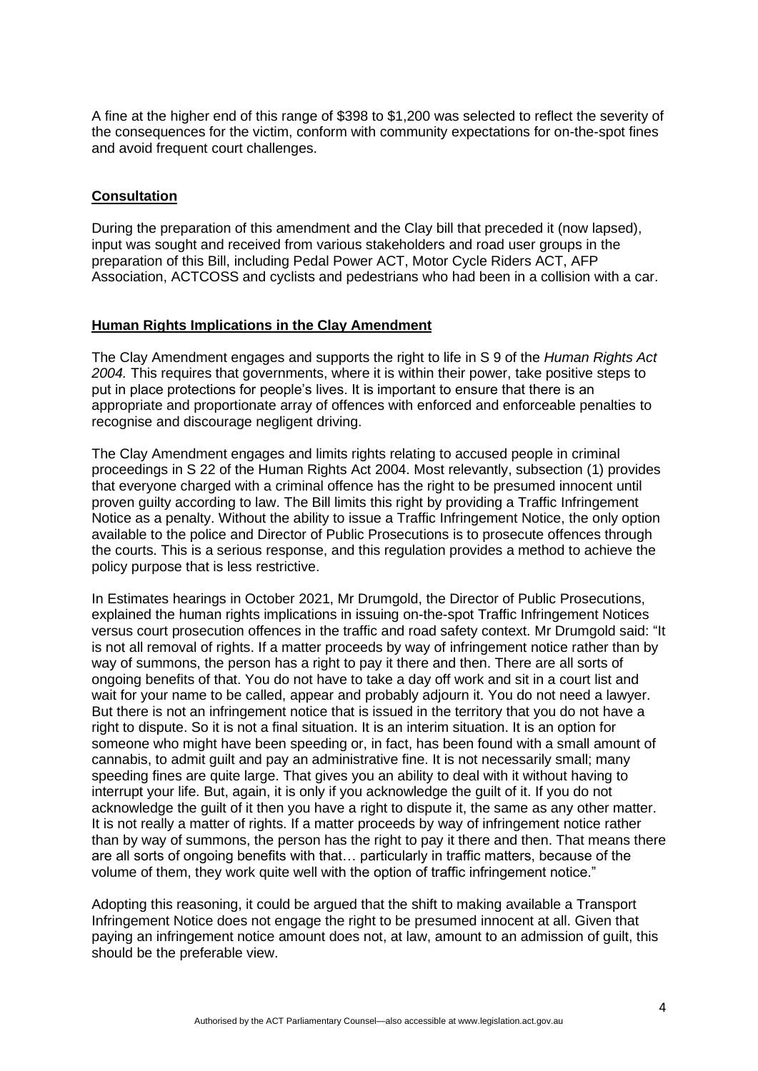A fine at the higher end of this range of \$398 to \$1,200 was selected to reflect the severity of the consequences for the victim, conform with community expectations for on-the-spot fines and avoid frequent court challenges.

### **Consultation**

During the preparation of this amendment and the Clay bill that preceded it (now lapsed), input was sought and received from various stakeholders and road user groups in the preparation of this Bill, including Pedal Power ACT, Motor Cycle Riders ACT, AFP Association, ACTCOSS and cyclists and pedestrians who had been in a collision with a car.

### **Human Rights Implications in the Clay Amendment**

The Clay Amendment engages and supports the right to life in S 9 of the *Human Rights Act 2004.* This requires that governments, where it is within their power, take positive steps to put in place protections for people's lives. It is important to ensure that there is an appropriate and proportionate array of offences with enforced and enforceable penalties to recognise and discourage negligent driving.

The Clay Amendment engages and limits rights relating to accused people in criminal proceedings in S 22 of the Human Rights Act 2004. Most relevantly, subsection (1) provides that everyone charged with a criminal offence has the right to be presumed innocent until proven guilty according to law. The Bill limits this right by providing a Traffic Infringement Notice as a penalty. Without the ability to issue a Traffic Infringement Notice, the only option available to the police and Director of Public Prosecutions is to prosecute offences through the courts. This is a serious response, and this regulation provides a method to achieve the policy purpose that is less restrictive.

In Estimates hearings in October 2021, Mr Drumgold, the Director of Public Prosecutions, explained the human rights implications in issuing on-the-spot Traffic Infringement Notices versus court prosecution offences in the traffic and road safety context. Mr Drumgold said: "It is not all removal of rights. If a matter proceeds by way of infringement notice rather than by way of summons, the person has a right to pay it there and then. There are all sorts of ongoing benefits of that. You do not have to take a day off work and sit in a court list and wait for your name to be called, appear and probably adjourn it. You do not need a lawyer. But there is not an infringement notice that is issued in the territory that you do not have a right to dispute. So it is not a final situation. It is an interim situation. It is an option for someone who might have been speeding or, in fact, has been found with a small amount of cannabis, to admit guilt and pay an administrative fine. It is not necessarily small; many speeding fines are quite large. That gives you an ability to deal with it without having to interrupt your life. But, again, it is only if you acknowledge the guilt of it. If you do not acknowledge the guilt of it then you have a right to dispute it, the same as any other matter. It is not really a matter of rights. If a matter proceeds by way of infringement notice rather than by way of summons, the person has the right to pay it there and then. That means there are all sorts of ongoing benefits with that… particularly in traffic matters, because of the volume of them, they work quite well with the option of traffic infringement notice."

Adopting this reasoning, it could be argued that the shift to making available a Transport Infringement Notice does not engage the right to be presumed innocent at all. Given that paying an infringement notice amount does not, at law, amount to an admission of guilt, this should be the preferable view.